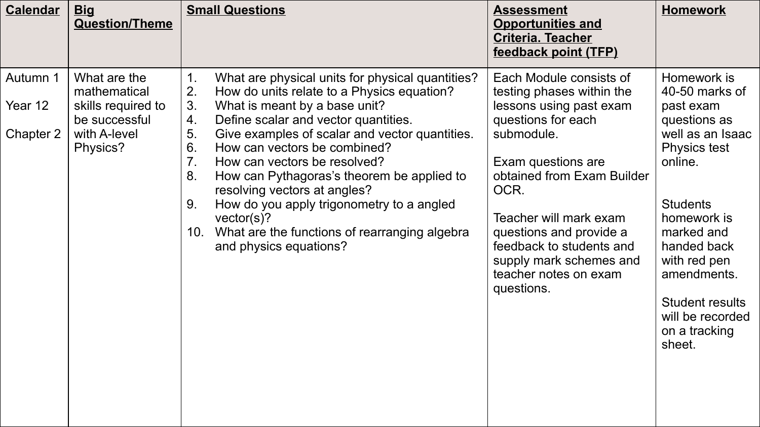| <b>Calendar</b>                  | <b>Big</b><br><b>Question/Theme</b>                                                             | <b>Small Questions</b>                                                                                                                                                                                                                                                                                                                                                                                                                                                                                                                                                                            | <b>Assessment</b><br><b>Opportunities and</b><br><b>Criteria. Teacher</b><br>feedback point (TFP)                                                                                                                                                                                                                                  | <b>Homework</b>                                                                                                                                                                                                                                                                         |
|----------------------------------|-------------------------------------------------------------------------------------------------|---------------------------------------------------------------------------------------------------------------------------------------------------------------------------------------------------------------------------------------------------------------------------------------------------------------------------------------------------------------------------------------------------------------------------------------------------------------------------------------------------------------------------------------------------------------------------------------------------|------------------------------------------------------------------------------------------------------------------------------------------------------------------------------------------------------------------------------------------------------------------------------------------------------------------------------------|-----------------------------------------------------------------------------------------------------------------------------------------------------------------------------------------------------------------------------------------------------------------------------------------|
| Autumn 1<br>Year 12<br>Chapter 2 | What are the<br>mathematical<br>skills required to<br>be successful<br>with A-level<br>Physics? | $\mathbf 1$ .<br>What are physical units for physical quantities?<br>2.<br>How do units relate to a Physics equation?<br>3.<br>What is meant by a base unit?<br>Define scalar and vector quantities.<br>4.<br>5.<br>Give examples of scalar and vector quantities.<br>6.<br>How can vectors be combined?<br>7 <sub>1</sub><br>How can vectors be resolved?<br>8.<br>How can Pythagoras's theorem be applied to<br>resolving vectors at angles?<br>9.<br>How do you apply trigonometry to a angled<br>vector(s)?<br>What are the functions of rearranging algebra<br>10.<br>and physics equations? | Each Module consists of<br>testing phases within the<br>lessons using past exam<br>questions for each<br>submodule.<br>Exam questions are<br>obtained from Exam Builder<br>OCR.<br>Teacher will mark exam<br>questions and provide a<br>feedback to students and<br>supply mark schemes and<br>teacher notes on exam<br>questions. | Homework is<br>40-50 marks of<br>past exam<br>questions as<br>well as an Isaac<br><b>Physics test</b><br>online.<br><b>Students</b><br>homework is<br>marked and<br>handed back<br>with red pen<br>amendments.<br><b>Student results</b><br>will be recorded<br>on a tracking<br>sheet. |
|                                  |                                                                                                 |                                                                                                                                                                                                                                                                                                                                                                                                                                                                                                                                                                                                   |                                                                                                                                                                                                                                                                                                                                    |                                                                                                                                                                                                                                                                                         |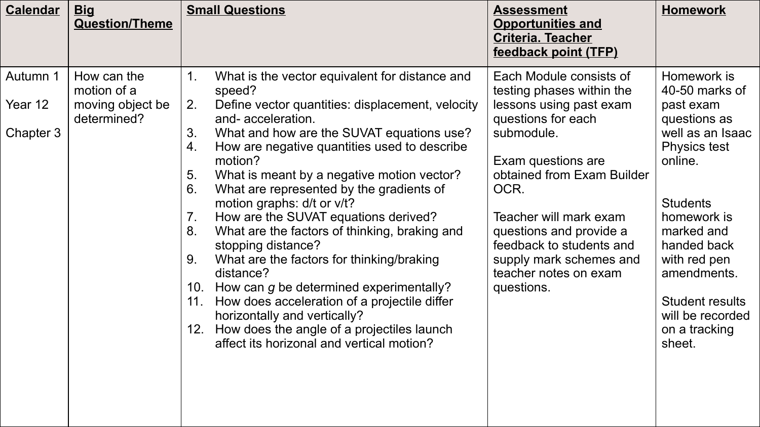| <b>Calendar</b>                  | <b>Big</b><br><b>Question/Theme</b>                           | <b>Small Questions</b>                                                                                                                                                                                                                                                                                                                                                                                                                                                                                                                                                                                                                                                                                                                                                                                                                                    | <b>Assessment</b><br><b>Opportunities and</b><br><b>Criteria. Teacher</b><br>feedback point (TFP)                                                                                                                                                                                                                                  | <b>Homework</b>                                                                                                                                                                                                                                                                         |
|----------------------------------|---------------------------------------------------------------|-----------------------------------------------------------------------------------------------------------------------------------------------------------------------------------------------------------------------------------------------------------------------------------------------------------------------------------------------------------------------------------------------------------------------------------------------------------------------------------------------------------------------------------------------------------------------------------------------------------------------------------------------------------------------------------------------------------------------------------------------------------------------------------------------------------------------------------------------------------|------------------------------------------------------------------------------------------------------------------------------------------------------------------------------------------------------------------------------------------------------------------------------------------------------------------------------------|-----------------------------------------------------------------------------------------------------------------------------------------------------------------------------------------------------------------------------------------------------------------------------------------|
| Autumn 1<br>Year 12<br>Chapter 3 | How can the<br>motion of a<br>moving object be<br>determined? | What is the vector equivalent for distance and<br>$1_{-}$<br>speed?<br>2.<br>Define vector quantities: displacement, velocity<br>and-acceleration.<br>3.<br>What and how are the SUVAT equations use?<br>How are negative quantities used to describe<br>4.<br>motion?<br>5.<br>What is meant by a negative motion vector?<br>6.<br>What are represented by the gradients of<br>motion graphs: d/t or v/t?<br>How are the SUVAT equations derived?<br>7 <sub>1</sub><br>8.<br>What are the factors of thinking, braking and<br>stopping distance?<br>9.<br>What are the factors for thinking/braking<br>distance?<br>10. How can g be determined experimentally?<br>How does acceleration of a projectile differ<br>11.<br>horizontally and vertically?<br>How does the angle of a projectiles launch<br>12.<br>affect its horizonal and vertical motion? | Each Module consists of<br>testing phases within the<br>lessons using past exam<br>questions for each<br>submodule.<br>Exam questions are<br>obtained from Exam Builder<br>OCR.<br>Teacher will mark exam<br>questions and provide a<br>feedback to students and<br>supply mark schemes and<br>teacher notes on exam<br>questions. | Homework is<br>40-50 marks of<br>past exam<br>questions as<br>well as an Isaac<br><b>Physics test</b><br>online.<br><b>Students</b><br>homework is<br>marked and<br>handed back<br>with red pen<br>amendments.<br><b>Student results</b><br>will be recorded<br>on a tracking<br>sheet. |
|                                  |                                                               |                                                                                                                                                                                                                                                                                                                                                                                                                                                                                                                                                                                                                                                                                                                                                                                                                                                           |                                                                                                                                                                                                                                                                                                                                    |                                                                                                                                                                                                                                                                                         |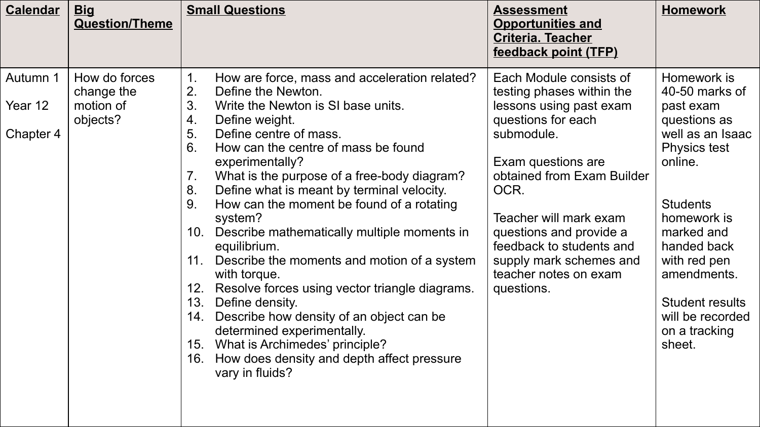| <b>Calendar</b>                  | <b>Big</b><br><b>Question/Theme</b>                  | <b>Small Questions</b>                                                                                                                                                                                                                                                                                                                                                                                                                                                                                                                                                                                                                                                                                                         | <b>Assessment</b><br><b>Opportunities and</b><br><b>Criteria. Teacher</b><br>feedback point (TFP)                                                                                                                                                                                                                                  | <b>Homework</b>                                                                                                                                                                                                                                              |
|----------------------------------|------------------------------------------------------|--------------------------------------------------------------------------------------------------------------------------------------------------------------------------------------------------------------------------------------------------------------------------------------------------------------------------------------------------------------------------------------------------------------------------------------------------------------------------------------------------------------------------------------------------------------------------------------------------------------------------------------------------------------------------------------------------------------------------------|------------------------------------------------------------------------------------------------------------------------------------------------------------------------------------------------------------------------------------------------------------------------------------------------------------------------------------|--------------------------------------------------------------------------------------------------------------------------------------------------------------------------------------------------------------------------------------------------------------|
| Autumn 1<br>Year 12<br>Chapter 4 | How do forces<br>change the<br>motion of<br>objects? | How are force, mass and acceleration related?<br>1 <sub>1</sub><br>2.<br>Define the Newton.<br>3.<br>Write the Newton is SI base units.<br>4.<br>Define weight.<br>5.<br>Define centre of mass.<br>6.<br>How can the centre of mass be found<br>experimentally?<br>What is the purpose of a free-body diagram?<br>7 <sub>1</sub><br>8.<br>Define what is meant by terminal velocity.<br>9.<br>How can the moment be found of a rotating<br>system?<br>10. Describe mathematically multiple moments in<br>equilibrium.<br>Describe the moments and motion of a system<br>11.<br>with torque.<br>12. Resolve forces using vector triangle diagrams.<br>13.<br>Define density.<br>Describe how density of an object can be<br>14. | Each Module consists of<br>testing phases within the<br>lessons using past exam<br>questions for each<br>submodule.<br>Exam questions are<br>obtained from Exam Builder<br>OCR.<br>Teacher will mark exam<br>questions and provide a<br>feedback to students and<br>supply mark schemes and<br>teacher notes on exam<br>questions. | Homework is<br>40-50 marks of<br>past exam<br>questions as<br>well as an Isaac<br><b>Physics test</b><br>online.<br><b>Students</b><br>homework is<br>marked and<br>handed back<br>with red pen<br>amendments.<br><b>Student results</b><br>will be recorded |
|                                  |                                                      | determined experimentally.<br>15. What is Archimedes' principle?<br>How does density and depth affect pressure<br>16.<br>vary in fluids?                                                                                                                                                                                                                                                                                                                                                                                                                                                                                                                                                                                       |                                                                                                                                                                                                                                                                                                                                    | on a tracking<br>sheet.                                                                                                                                                                                                                                      |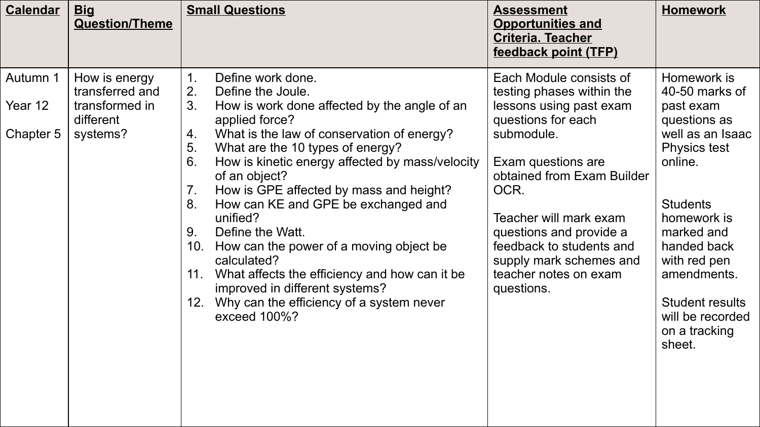| <b>Calendar</b>                  | <b>Big</b><br><b>Question/Theme</b>                                         | <b>Small Questions</b>                                                                                                                                                                                                                                                                                                                                                                                                                                                                                                                                                                                                                                                                | <b>Assessment</b><br><b>Opportunities and</b><br><b>Criteria. Teacher</b><br>feedback point (TFP)                                                                                                                                                                                                                                  | <b>Homework</b>                                                                                                                                                                                                                                                                  |
|----------------------------------|-----------------------------------------------------------------------------|---------------------------------------------------------------------------------------------------------------------------------------------------------------------------------------------------------------------------------------------------------------------------------------------------------------------------------------------------------------------------------------------------------------------------------------------------------------------------------------------------------------------------------------------------------------------------------------------------------------------------------------------------------------------------------------|------------------------------------------------------------------------------------------------------------------------------------------------------------------------------------------------------------------------------------------------------------------------------------------------------------------------------------|----------------------------------------------------------------------------------------------------------------------------------------------------------------------------------------------------------------------------------------------------------------------------------|
| Autumn 1<br>Year 12<br>Chapter 5 | How is energy<br>transferred and<br>transformed in<br>different<br>systems? | $\mathbf 1$ .<br>Define work done.<br>2.<br>Define the Joule.<br>3.<br>How is work done affected by the angle of an<br>applied force?<br>What is the law of conservation of energy?<br>4.<br>5.<br>What are the 10 types of energy?<br>6.<br>How is kinetic energy affected by mass/velocity<br>of an object?<br>7 <sub>1</sub><br>How is GPE affected by mass and height?<br>8.<br>How can KE and GPE be exchanged and<br>unified?<br>Define the Watt.<br>9.<br>How can the power of a moving object be<br>10.<br>calculated?<br>11. What affects the efficiency and how can it be<br>improved in different systems?<br>12. Why can the efficiency of a system never<br>exceed 100%? | Each Module consists of<br>testing phases within the<br>lessons using past exam<br>questions for each<br>submodule.<br>Exam questions are<br>obtained from Exam Builder<br>OCR.<br>Teacher will mark exam<br>questions and provide a<br>feedback to students and<br>supply mark schemes and<br>teacher notes on exam<br>questions. | Homework is<br>40-50 marks of<br>past exam<br>questions as<br>well as an Isaac<br>Physics test<br>online.<br><b>Students</b><br>homework is<br>marked and<br>handed back<br>with red pen<br>amendments.<br><b>Student results</b><br>will be recorded<br>on a tracking<br>sheet. |
|                                  |                                                                             |                                                                                                                                                                                                                                                                                                                                                                                                                                                                                                                                                                                                                                                                                       |                                                                                                                                                                                                                                                                                                                                    |                                                                                                                                                                                                                                                                                  |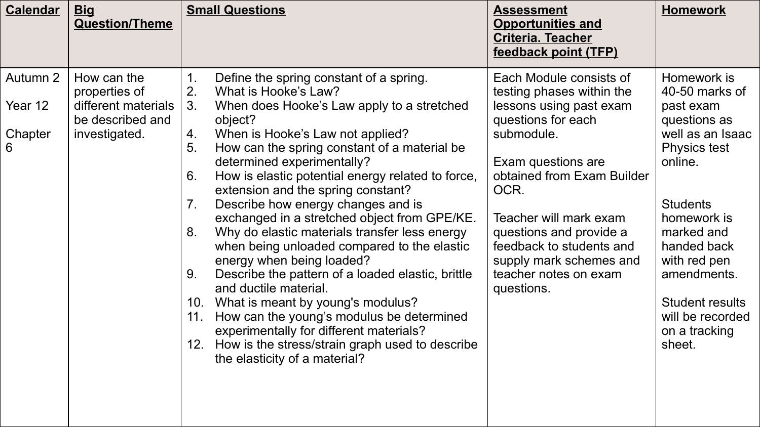| <b>Calendar</b>                     | <b>Big</b><br><b>Question/Theme</b>                                                      | <b>Small Questions</b>                                                                                                                                                                                                                                                                                                                                                                                                                                                                                                                                                                                                                                                                                                                                                                                                                                                                                                             | <b>Assessment</b><br><b>Opportunities and</b><br><b>Criteria. Teacher</b><br>feedback point (TFP)                                                                                                                                                                                                                                  | <b>Homework</b>                                                                                                                                                                                                                                                                         |
|-------------------------------------|------------------------------------------------------------------------------------------|------------------------------------------------------------------------------------------------------------------------------------------------------------------------------------------------------------------------------------------------------------------------------------------------------------------------------------------------------------------------------------------------------------------------------------------------------------------------------------------------------------------------------------------------------------------------------------------------------------------------------------------------------------------------------------------------------------------------------------------------------------------------------------------------------------------------------------------------------------------------------------------------------------------------------------|------------------------------------------------------------------------------------------------------------------------------------------------------------------------------------------------------------------------------------------------------------------------------------------------------------------------------------|-----------------------------------------------------------------------------------------------------------------------------------------------------------------------------------------------------------------------------------------------------------------------------------------|
| Autumn 2<br>Year 12<br>Chapter<br>6 | How can the<br>properties of<br>different materials<br>be described and<br>investigated. | Define the spring constant of a spring.<br>2.<br>What is Hooke's Law?<br>3 <sub>1</sub><br>When does Hooke's Law apply to a stretched<br>object?<br>When is Hooke's Law not applied?<br>4.<br>5.<br>How can the spring constant of a material be<br>determined experimentally?<br>How is elastic potential energy related to force,<br>6.<br>extension and the spring constant?<br>Describe how energy changes and is<br>7.<br>exchanged in a stretched object from GPE/KE.<br>Why do elastic materials transfer less energy<br>8.<br>when being unloaded compared to the elastic<br>energy when being loaded?<br>Describe the pattern of a loaded elastic, brittle<br>9.<br>and ductile material.<br>10. What is meant by young's modulus?<br>How can the young's modulus be determined<br>11.<br>experimentally for different materials?<br>12. How is the stress/strain graph used to describe<br>the elasticity of a material? | Each Module consists of<br>testing phases within the<br>lessons using past exam<br>questions for each<br>submodule.<br>Exam questions are<br>obtained from Exam Builder<br>OCR.<br>Teacher will mark exam<br>questions and provide a<br>feedback to students and<br>supply mark schemes and<br>teacher notes on exam<br>questions. | Homework is<br>40-50 marks of<br>past exam<br>questions as<br>well as an Isaac<br><b>Physics test</b><br>online.<br><b>Students</b><br>homework is<br>marked and<br>handed back<br>with red pen<br>amendments.<br><b>Student results</b><br>will be recorded<br>on a tracking<br>sheet. |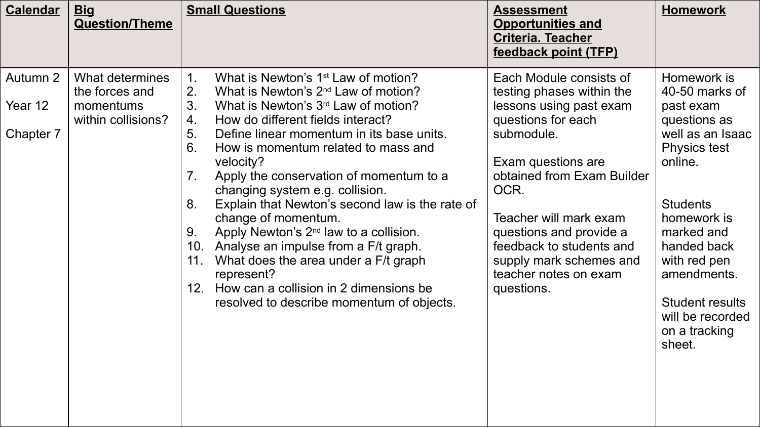| <b>Calendar</b>                  | <u>Big</u><br><b>Question/Theme</b>                                  | <b>Small Questions</b>                                                                                                                                                                                                                                                                                                                                                                                                                                                                                                                                                                                                                                                                                                                                                            | <b>Assessment</b><br><b>Opportunities and</b><br><b>Criteria. Teacher</b><br>feedback point (TFP)                                                                                                                                                                                                                                  | <b>Homework</b>                                                                                                                                                                                                                                                                         |
|----------------------------------|----------------------------------------------------------------------|-----------------------------------------------------------------------------------------------------------------------------------------------------------------------------------------------------------------------------------------------------------------------------------------------------------------------------------------------------------------------------------------------------------------------------------------------------------------------------------------------------------------------------------------------------------------------------------------------------------------------------------------------------------------------------------------------------------------------------------------------------------------------------------|------------------------------------------------------------------------------------------------------------------------------------------------------------------------------------------------------------------------------------------------------------------------------------------------------------------------------------|-----------------------------------------------------------------------------------------------------------------------------------------------------------------------------------------------------------------------------------------------------------------------------------------|
| Autumn 2<br>Year 12<br>Chapter 7 | What determines<br>the forces and<br>momentums<br>within collisions? | What is Newton's 1 <sup>st</sup> Law of motion?<br>$\mathbf 1$ .<br>2.<br>What is Newton's 2 <sup>nd</sup> Law of motion?<br>3.<br>What is Newton's 3 <sup>rd</sup> Law of motion?<br>How do different fields interact?<br>4.<br>5.<br>Define linear momentum in its base units.<br>6.<br>How is momentum related to mass and<br>velocity?<br>Apply the conservation of momentum to a<br>7.<br>changing system e.g. collision.<br>Explain that Newton's second law is the rate of<br>8.<br>change of momentum.<br>Apply Newton's 2 <sup>nd</sup> law to a collision.<br>9.<br>10. Analyse an impulse from a F/t graph.<br>What does the area under a F/t graph<br>11.<br>represent?<br>How can a collision in 2 dimensions be<br>12.<br>resolved to describe momentum of objects. | Each Module consists of<br>testing phases within the<br>lessons using past exam<br>questions for each<br>submodule.<br>Exam questions are<br>obtained from Exam Builder<br>OCR.<br>Teacher will mark exam<br>questions and provide a<br>feedback to students and<br>supply mark schemes and<br>teacher notes on exam<br>questions. | Homework is<br>40-50 marks of<br>past exam<br>questions as<br>well as an Isaac<br><b>Physics test</b><br>online.<br><b>Students</b><br>homework is<br>marked and<br>handed back<br>with red pen<br>amendments.<br><b>Student results</b><br>will be recorded<br>on a tracking<br>sheet. |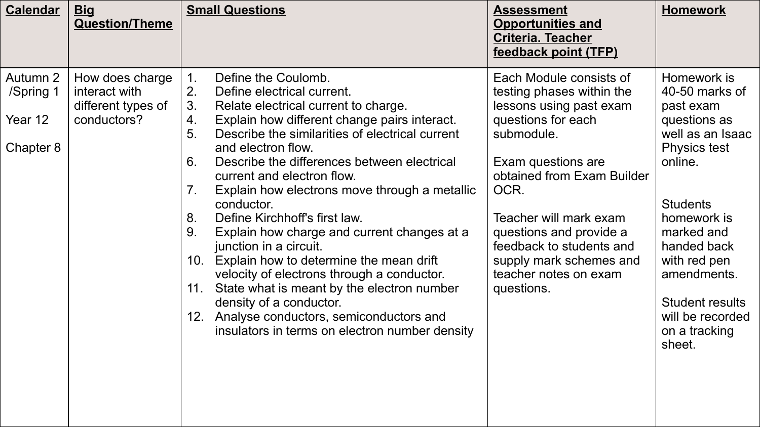| <b>Calendar</b>                               | <u>Big</u><br><b>Question/Theme</b>                                   | <b>Small Questions</b>                                                                                                                                                                                                                                                                                                                                                                                                                                                                                                                                                                                                                                                                                                                                                                                            | <b>Assessment</b><br><b>Opportunities and</b><br><b>Criteria. Teacher</b><br>feedback point (TFP)                                                                                                                                                                                                                                  | <b>Homework</b>                                                                                                                                                                                                                                                                         |
|-----------------------------------------------|-----------------------------------------------------------------------|-------------------------------------------------------------------------------------------------------------------------------------------------------------------------------------------------------------------------------------------------------------------------------------------------------------------------------------------------------------------------------------------------------------------------------------------------------------------------------------------------------------------------------------------------------------------------------------------------------------------------------------------------------------------------------------------------------------------------------------------------------------------------------------------------------------------|------------------------------------------------------------------------------------------------------------------------------------------------------------------------------------------------------------------------------------------------------------------------------------------------------------------------------------|-----------------------------------------------------------------------------------------------------------------------------------------------------------------------------------------------------------------------------------------------------------------------------------------|
| Autumn 2<br>/Spring 1<br>Year 12<br>Chapter 8 | How does charge<br>interact with<br>different types of<br>conductors? | Define the Coulomb.<br>1.<br>2.<br>Define electrical current.<br>3.<br>Relate electrical current to charge.<br>Explain how different change pairs interact.<br>4.<br>5.<br>Describe the similarities of electrical current<br>and electron flow.<br>Describe the differences between electrical<br>6.<br>current and electron flow.<br>Explain how electrons move through a metallic<br>$7_{\cdot}$<br>conductor.<br>Define Kirchhoff's first law.<br>8.<br>Explain how charge and current changes at a<br>9.<br>junction in a circuit.<br>10. Explain how to determine the mean drift<br>velocity of electrons through a conductor.<br>11. State what is meant by the electron number<br>density of a conductor.<br>12. Analyse conductors, semiconductors and<br>insulators in terms on electron number density | Each Module consists of<br>testing phases within the<br>lessons using past exam<br>questions for each<br>submodule.<br>Exam questions are<br>obtained from Exam Builder<br>OCR.<br>Teacher will mark exam<br>questions and provide a<br>feedback to students and<br>supply mark schemes and<br>teacher notes on exam<br>questions. | Homework is<br>40-50 marks of<br>past exam<br>questions as<br>well as an Isaac<br><b>Physics test</b><br>online.<br><b>Students</b><br>homework is<br>marked and<br>handed back<br>with red pen<br>amendments.<br><b>Student results</b><br>will be recorded<br>on a tracking<br>sheet. |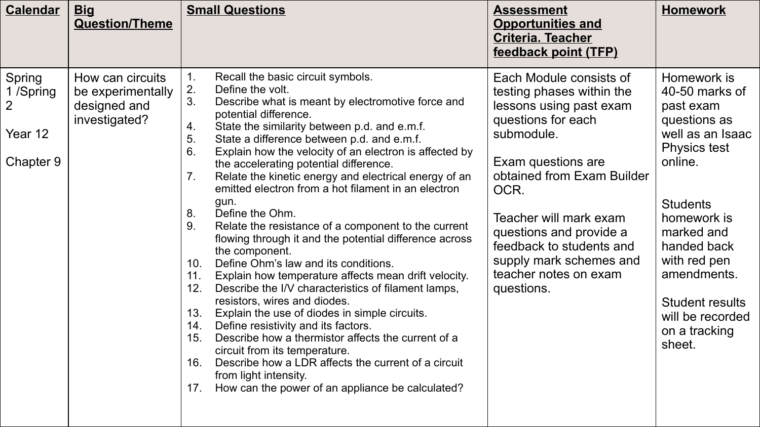| <b>Calendar</b>                                               | <u>Big</u><br><b>Question/Theme</b>                                    | <b>Small Questions</b>                                                                                                                                                                                                                                                                                                                                                                                                                                                                                                                                                                                                                                                                                                                                                                                                                                                                                                                                                                                                                                                                                                                                                                                                                      | <b>Assessment</b><br><b>Opportunities and</b><br><b>Criteria. Teacher</b><br>feedback point (TFP)                                                                                                                                                                                                                                  | <b>Homework</b>                                                                                                                                                                                                                                                                         |
|---------------------------------------------------------------|------------------------------------------------------------------------|---------------------------------------------------------------------------------------------------------------------------------------------------------------------------------------------------------------------------------------------------------------------------------------------------------------------------------------------------------------------------------------------------------------------------------------------------------------------------------------------------------------------------------------------------------------------------------------------------------------------------------------------------------------------------------------------------------------------------------------------------------------------------------------------------------------------------------------------------------------------------------------------------------------------------------------------------------------------------------------------------------------------------------------------------------------------------------------------------------------------------------------------------------------------------------------------------------------------------------------------|------------------------------------------------------------------------------------------------------------------------------------------------------------------------------------------------------------------------------------------------------------------------------------------------------------------------------------|-----------------------------------------------------------------------------------------------------------------------------------------------------------------------------------------------------------------------------------------------------------------------------------------|
| Spring<br>1 /Spring<br>$\overline{2}$<br>Year 12<br>Chapter 9 | How can circuits<br>be experimentally<br>designed and<br>investigated? | Recall the basic circuit symbols.<br>1.<br>2.<br>Define the volt.<br>3.<br>Describe what is meant by electromotive force and<br>potential difference.<br>State the similarity between p.d. and e.m.f.<br>4.<br>5.<br>State a difference between p.d. and e.m.f.<br>6.<br>Explain how the velocity of an electron is affected by<br>the accelerating potential difference.<br>7.<br>Relate the kinetic energy and electrical energy of an<br>emitted electron from a hot filament in an electron<br>gun.<br>Define the Ohm.<br>8.<br>Relate the resistance of a component to the current<br>9.<br>flowing through it and the potential difference across<br>the component.<br>Define Ohm's law and its conditions.<br>10.<br>Explain how temperature affects mean drift velocity.<br>11.<br>12.<br>Describe the I/V characteristics of filament lamps,<br>resistors, wires and diodes.<br>13.<br>Explain the use of diodes in simple circuits.<br>Define resistivity and its factors.<br>14.<br>Describe how a thermistor affects the current of a<br>15.<br>circuit from its temperature.<br>Describe how a LDR affects the current of a circuit<br>16.<br>from light intensity.<br>How can the power of an appliance be calculated?<br>17. | Each Module consists of<br>testing phases within the<br>lessons using past exam<br>questions for each<br>submodule.<br>Exam questions are<br>obtained from Exam Builder<br>OCR.<br>Teacher will mark exam<br>questions and provide a<br>feedback to students and<br>supply mark schemes and<br>teacher notes on exam<br>questions. | Homework is<br>40-50 marks of<br>past exam<br>questions as<br>well as an Isaac<br><b>Physics test</b><br>online.<br><b>Students</b><br>homework is<br>marked and<br>handed back<br>with red pen<br>amendments.<br><b>Student results</b><br>will be recorded<br>on a tracking<br>sheet. |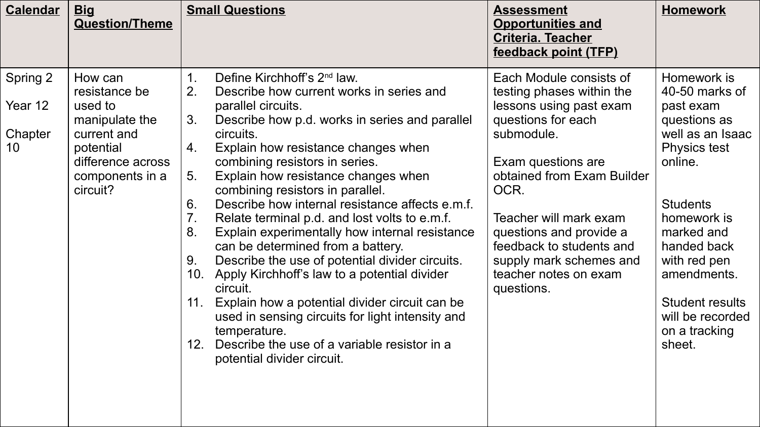| <b>Calendar</b>                      | <b>Big</b><br><b>Question/Theme</b>                                                                                                   | <b>Small Questions</b>                                                                                                                                                                                                                                                                                                                                                                                                                                                                                                                                                                                                                                                                                                                                                                                                                                                                                                                  | <b>Assessment</b><br><b>Opportunities and</b><br><b>Criteria. Teacher</b><br>feedback point (TFP)                                                                                                                                                                                                                                  | <b>Homework</b>                                                                                                                                                                                                                                                                         |
|--------------------------------------|---------------------------------------------------------------------------------------------------------------------------------------|-----------------------------------------------------------------------------------------------------------------------------------------------------------------------------------------------------------------------------------------------------------------------------------------------------------------------------------------------------------------------------------------------------------------------------------------------------------------------------------------------------------------------------------------------------------------------------------------------------------------------------------------------------------------------------------------------------------------------------------------------------------------------------------------------------------------------------------------------------------------------------------------------------------------------------------------|------------------------------------------------------------------------------------------------------------------------------------------------------------------------------------------------------------------------------------------------------------------------------------------------------------------------------------|-----------------------------------------------------------------------------------------------------------------------------------------------------------------------------------------------------------------------------------------------------------------------------------------|
| Spring 2<br>Year 12<br>Chapter<br>10 | How can<br>resistance be<br>used to<br>manipulate the<br>current and<br>potential<br>difference across<br>components in a<br>circuit? | Define Kirchhoff's 2 <sup>nd</sup> law.<br>2.<br>Describe how current works in series and<br>parallel circuits.<br>3.<br>Describe how p.d. works in series and parallel<br>circuits.<br>Explain how resistance changes when<br>4.<br>combining resistors in series.<br>Explain how resistance changes when<br>5 <sub>1</sub><br>combining resistors in parallel.<br>6.<br>Describe how internal resistance affects e.m.f.<br>7 <sub>1</sub><br>Relate terminal p.d. and lost volts to e.m.f.<br>8.<br>Explain experimentally how internal resistance<br>can be determined from a battery.<br>Describe the use of potential divider circuits.<br>9.<br>Apply Kirchhoff's law to a potential divider<br>10.<br>circuit.<br>Explain how a potential divider circuit can be<br>11.<br>used in sensing circuits for light intensity and<br>temperature.<br>Describe the use of a variable resistor in a<br>12.<br>potential divider circuit. | Each Module consists of<br>testing phases within the<br>lessons using past exam<br>questions for each<br>submodule.<br>Exam questions are<br>obtained from Exam Builder<br>OCR.<br>Teacher will mark exam<br>questions and provide a<br>feedback to students and<br>supply mark schemes and<br>teacher notes on exam<br>questions. | Homework is<br>40-50 marks of<br>past exam<br>questions as<br>well as an Isaac<br><b>Physics test</b><br>online.<br><b>Students</b><br>homework is<br>marked and<br>handed back<br>with red pen<br>amendments.<br><b>Student results</b><br>will be recorded<br>on a tracking<br>sheet. |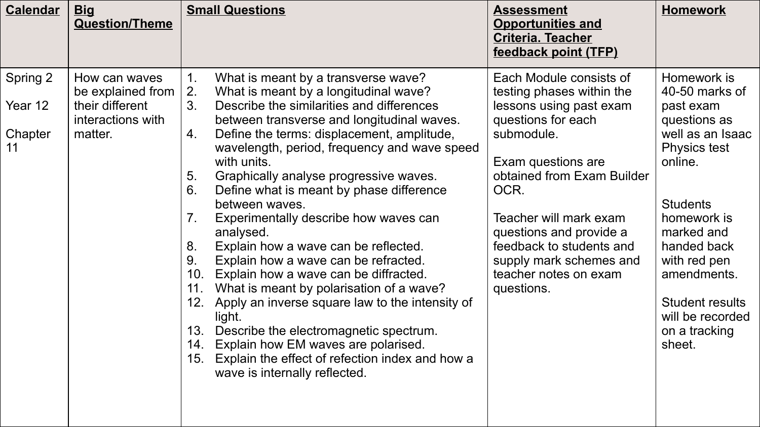| <b>Calendar</b> | <b>Big</b><br><b>Question/Theme</b>  |          | <b>Small Questions</b>                                                                                                                                                    | <b>Assessment</b><br><b>Opportunities and</b><br><b>Criteria. Teacher</b>    | <b>Homework</b>                                    |
|-----------------|--------------------------------------|----------|---------------------------------------------------------------------------------------------------------------------------------------------------------------------------|------------------------------------------------------------------------------|----------------------------------------------------|
|                 |                                      |          |                                                                                                                                                                           | feedback point (TFP)                                                         |                                                    |
| Spring 2        | How can waves<br>be explained from   | 1.<br>2. | What is meant by a transverse wave?<br>What is meant by a longitudinal wave?                                                                                              | Each Module consists of<br>testing phases within the                         | Homework is<br>40-50 marks of                      |
| Year 12         | their different<br>interactions with | 3.       | Describe the similarities and differences<br>between transverse and longitudinal waves.                                                                                   | lessons using past exam<br>questions for each                                | past exam<br>questions as                          |
| Chapter<br>11   | matter.                              | 4.       | Define the terms: displacement, amplitude,<br>wavelength, period, frequency and wave speed<br>with units.                                                                 | submodule.<br>Exam questions are                                             | well as an Isaac<br><b>Physics test</b><br>online. |
|                 |                                      | 5.<br>6. | Graphically analyse progressive waves.<br>Define what is meant by phase difference                                                                                        | obtained from Exam Builder<br>OCR.                                           |                                                    |
|                 |                                      | 7.       | between waves.<br>Experimentally describe how waves can<br>analysed.                                                                                                      | Teacher will mark exam<br>questions and provide a                            | <b>Students</b><br>homework is<br>marked and       |
|                 |                                      | 8.<br>9. | Explain how a wave can be reflected.<br>Explain how a wave can be refracted.<br>10. Explain how a wave can be diffracted.                                                 | feedback to students and<br>supply mark schemes and<br>teacher notes on exam | handed back<br>with red pen<br>amendments.         |
|                 |                                      | 11.      | What is meant by polarisation of a wave?<br>12. Apply an inverse square law to the intensity of<br>light.                                                                 | questions.                                                                   | <b>Student results</b><br>will be recorded         |
|                 |                                      | 13.      | Describe the electromagnetic spectrum.<br>14. Explain how EM waves are polarised.<br>15. Explain the effect of refection index and how a<br>wave is internally reflected. |                                                                              | on a tracking<br>sheet.                            |
|                 |                                      |          |                                                                                                                                                                           |                                                                              |                                                    |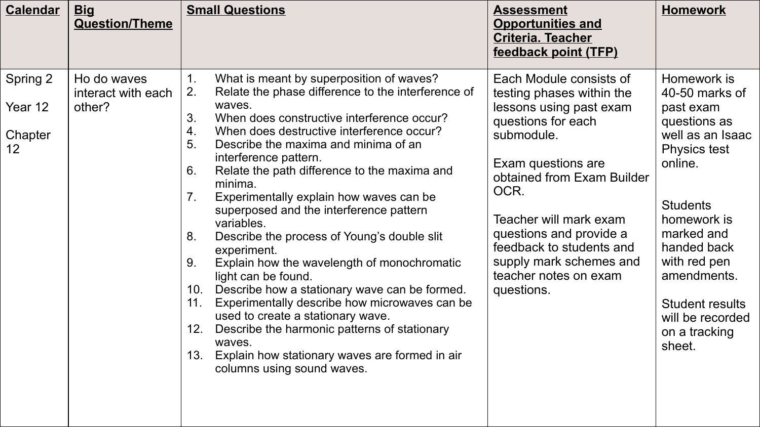| <b>Calendar</b><br><u>Big</u><br><b>Question/Theme</b>                              | <b>Small Questions</b>                                                                                                                                                                                                                                                                                                                                                                                                                                                                                                                                                                                                                                                                                                                                                                                                                                                                                                                                            | <b>Assessment</b><br><b>Opportunities and</b><br><b>Criteria. Teacher</b><br>feedback point (TFP)                                                                                                                                                                                                                                  | <b>Homework</b>                                                                                                                                                                                                                                                                  |
|-------------------------------------------------------------------------------------|-------------------------------------------------------------------------------------------------------------------------------------------------------------------------------------------------------------------------------------------------------------------------------------------------------------------------------------------------------------------------------------------------------------------------------------------------------------------------------------------------------------------------------------------------------------------------------------------------------------------------------------------------------------------------------------------------------------------------------------------------------------------------------------------------------------------------------------------------------------------------------------------------------------------------------------------------------------------|------------------------------------------------------------------------------------------------------------------------------------------------------------------------------------------------------------------------------------------------------------------------------------------------------------------------------------|----------------------------------------------------------------------------------------------------------------------------------------------------------------------------------------------------------------------------------------------------------------------------------|
| Spring 2<br>Ho do waves<br>interact with each<br>Year 12<br>other?<br>Chapter<br>12 | What is meant by superposition of waves?<br>$\mathbf 1$ .<br>2.<br>Relate the phase difference to the interference of<br>waves.<br>3.<br>When does constructive interference occur?<br>4.<br>When does destructive interference occur?<br>5.<br>Describe the maxima and minima of an<br>interference pattern.<br>6.<br>Relate the path difference to the maxima and<br>minima.<br>7 <sub>1</sub><br>Experimentally explain how waves can be<br>superposed and the interference pattern<br>variables.<br>8.<br>Describe the process of Young's double slit<br>experiment.<br>Explain how the wavelength of monochromatic<br>9.<br>light can be found.<br>Describe how a stationary wave can be formed.<br>10.<br>11.<br>Experimentally describe how microwaves can be<br>used to create a stationary wave.<br>12.<br>Describe the harmonic patterns of stationary<br>waves.<br>13.<br>Explain how stationary waves are formed in air<br>columns using sound waves. | Each Module consists of<br>testing phases within the<br>lessons using past exam<br>questions for each<br>submodule.<br>Exam questions are<br>obtained from Exam Builder<br>OCR.<br>Teacher will mark exam<br>questions and provide a<br>feedback to students and<br>supply mark schemes and<br>teacher notes on exam<br>questions. | Homework is<br>40-50 marks of<br>past exam<br>questions as<br>well as an Isaac<br><b>Physics test</b><br>online.<br><b>Students</b><br>homework is<br>marked and<br>handed back<br>with red pen<br>amendments.<br>Student results<br>will be recorded<br>on a tracking<br>sheet. |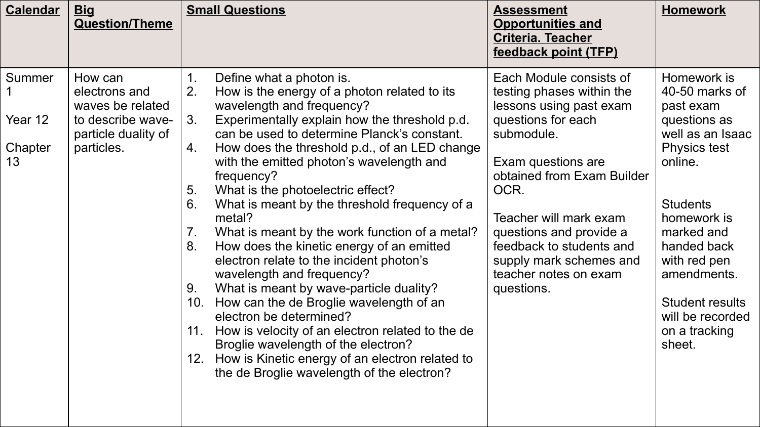| <b>Calendar</b>                    | <b>Big</b><br><b>Question/Theme</b>                                                                    | <b>Small Questions</b>                                                                                                                                                                                                                                                                                                                                                                                                                                                                                                                                                                                                                                                                                                                                                                                                                                                                                                                                                  | <b>Assessment</b><br><b>Opportunities and</b><br><b>Criteria. Teacher</b><br>feedback point (TFP)                                                                                                                                                                                                                                  | <b>Homework</b>                                                                                                                                                                                                                                                                         |
|------------------------------------|--------------------------------------------------------------------------------------------------------|-------------------------------------------------------------------------------------------------------------------------------------------------------------------------------------------------------------------------------------------------------------------------------------------------------------------------------------------------------------------------------------------------------------------------------------------------------------------------------------------------------------------------------------------------------------------------------------------------------------------------------------------------------------------------------------------------------------------------------------------------------------------------------------------------------------------------------------------------------------------------------------------------------------------------------------------------------------------------|------------------------------------------------------------------------------------------------------------------------------------------------------------------------------------------------------------------------------------------------------------------------------------------------------------------------------------|-----------------------------------------------------------------------------------------------------------------------------------------------------------------------------------------------------------------------------------------------------------------------------------------|
| Summer<br>Year 12<br>Chapter<br>13 | How can<br>electrons and<br>waves be related<br>to describe wave-<br>particle duality of<br>particles. | Define what a photon is.<br>2.<br>How is the energy of a photon related to its<br>wavelength and frequency?<br>Experimentally explain how the threshold p.d.<br>3.<br>can be used to determine Planck's constant.<br>How does the threshold p.d., of an LED change<br>4.<br>with the emitted photon's wavelength and<br>frequency?<br>What is the photoelectric effect?<br>5.<br>What is meant by the threshold frequency of a<br>6.<br>metal?<br>What is meant by the work function of a metal?<br>7.<br>How does the kinetic energy of an emitted<br>8.<br>electron relate to the incident photon's<br>wavelength and frequency?<br>What is meant by wave-particle duality?<br>9.<br>How can the de Broglie wavelength of an<br>10.<br>electron be determined?<br>How is velocity of an electron related to the de<br>11.<br>Broglie wavelength of the electron?<br>12. How is Kinetic energy of an electron related to<br>the de Broglie wavelength of the electron? | Each Module consists of<br>testing phases within the<br>lessons using past exam<br>questions for each<br>submodule.<br>Exam questions are<br>obtained from Exam Builder<br>OCR.<br>Teacher will mark exam<br>questions and provide a<br>feedback to students and<br>supply mark schemes and<br>teacher notes on exam<br>questions. | Homework is<br>40-50 marks of<br>past exam<br>questions as<br>well as an Isaac<br><b>Physics test</b><br>online.<br><b>Students</b><br>homework is<br>marked and<br>handed back<br>with red pen<br>amendments.<br><b>Student results</b><br>will be recorded<br>on a tracking<br>sheet. |
|                                    |                                                                                                        |                                                                                                                                                                                                                                                                                                                                                                                                                                                                                                                                                                                                                                                                                                                                                                                                                                                                                                                                                                         |                                                                                                                                                                                                                                                                                                                                    |                                                                                                                                                                                                                                                                                         |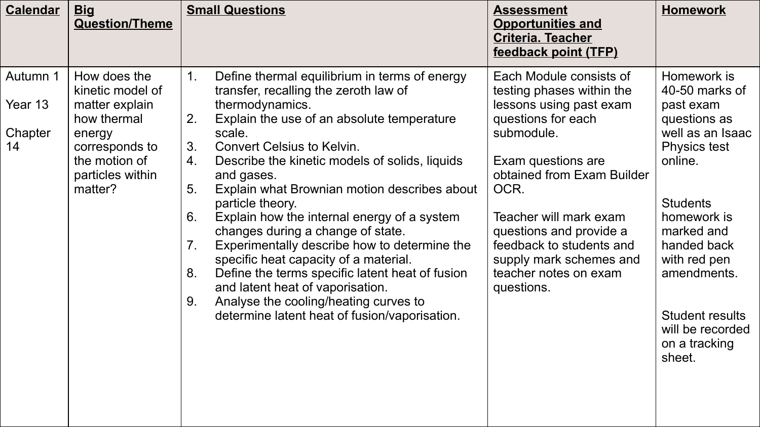| <b>Calendar</b>                      | <b>Big</b><br><b>Question/Theme</b>                                                                                                           | <b>Small Questions</b>                                                                                                                                                                                                                                                                                                                                                                                                                                                                                                                                                                                                                                                                                                                                         | <b>Assessment</b><br><b>Opportunities and</b><br><b>Criteria. Teacher</b><br>feedback point (TFP)                                                                                                                                                                                                                                  | <b>Homework</b>                                                                                                                                                                                                                                                                         |
|--------------------------------------|-----------------------------------------------------------------------------------------------------------------------------------------------|----------------------------------------------------------------------------------------------------------------------------------------------------------------------------------------------------------------------------------------------------------------------------------------------------------------------------------------------------------------------------------------------------------------------------------------------------------------------------------------------------------------------------------------------------------------------------------------------------------------------------------------------------------------------------------------------------------------------------------------------------------------|------------------------------------------------------------------------------------------------------------------------------------------------------------------------------------------------------------------------------------------------------------------------------------------------------------------------------------|-----------------------------------------------------------------------------------------------------------------------------------------------------------------------------------------------------------------------------------------------------------------------------------------|
| Autumn 1<br>Year 13<br>Chapter<br>14 | How does the<br>kinetic model of<br>matter explain<br>how thermal<br>energy<br>corresponds to<br>the motion of<br>particles within<br>matter? | Define thermal equilibrium in terms of energy<br>1.<br>transfer, recalling the zeroth law of<br>thermodynamics.<br>2.<br>Explain the use of an absolute temperature<br>scale.<br>3.<br><b>Convert Celsius to Kelvin.</b><br>Describe the kinetic models of solids, liquids<br>4.<br>and gases.<br>Explain what Brownian motion describes about<br>5.<br>particle theory.<br>Explain how the internal energy of a system<br>6.<br>changes during a change of state.<br>Experimentally describe how to determine the<br>7.<br>specific heat capacity of a material.<br>Define the terms specific latent heat of fusion<br>8.<br>and latent heat of vaporisation.<br>Analyse the cooling/heating curves to<br>9.<br>determine latent heat of fusion/vaporisation. | Each Module consists of<br>testing phases within the<br>lessons using past exam<br>questions for each<br>submodule.<br>Exam questions are<br>obtained from Exam Builder<br>OCR.<br>Teacher will mark exam<br>questions and provide a<br>feedback to students and<br>supply mark schemes and<br>teacher notes on exam<br>questions. | Homework is<br>40-50 marks of<br>past exam<br>questions as<br>well as an Isaac<br><b>Physics test</b><br>online.<br><b>Students</b><br>homework is<br>marked and<br>handed back<br>with red pen<br>amendments.<br><b>Student results</b><br>will be recorded<br>on a tracking<br>sheet. |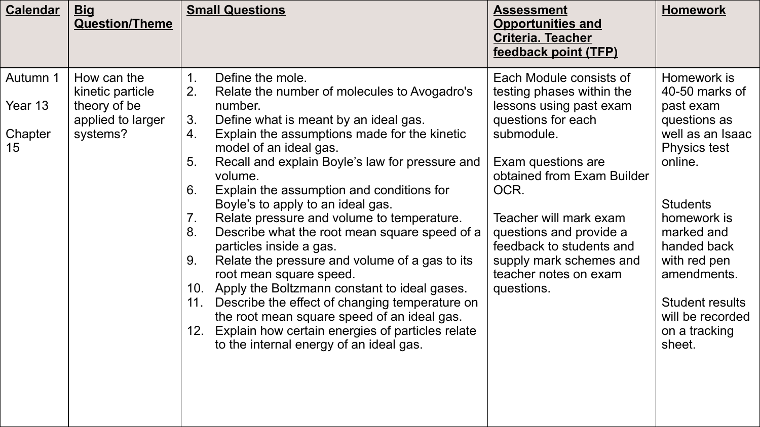| <b>Calendar</b>                      | <b>Big</b><br><b>Question/Theme</b>                                              | <b>Small Questions</b>                                                                                                                                                                                                                                                                                                                                                                                                                                                                                                                                                                                                                                                                                                                                                                                                                                                                                                 | <b>Assessment</b><br><b>Opportunities and</b><br><b>Criteria. Teacher</b><br>feedback point (TFP)                                                                                                                                                                                                                                  | <b>Homework</b>                                                                                                                                                                                                                                                                         |
|--------------------------------------|----------------------------------------------------------------------------------|------------------------------------------------------------------------------------------------------------------------------------------------------------------------------------------------------------------------------------------------------------------------------------------------------------------------------------------------------------------------------------------------------------------------------------------------------------------------------------------------------------------------------------------------------------------------------------------------------------------------------------------------------------------------------------------------------------------------------------------------------------------------------------------------------------------------------------------------------------------------------------------------------------------------|------------------------------------------------------------------------------------------------------------------------------------------------------------------------------------------------------------------------------------------------------------------------------------------------------------------------------------|-----------------------------------------------------------------------------------------------------------------------------------------------------------------------------------------------------------------------------------------------------------------------------------------|
| Autumn 1<br>Year 13<br>Chapter<br>15 | How can the<br>kinetic particle<br>theory of be<br>applied to larger<br>systems? | $\mathbf{1}$ .<br>Define the mole.<br>2.<br>Relate the number of molecules to Avogadro's<br>number.<br>Define what is meant by an ideal gas.<br>3.<br>Explain the assumptions made for the kinetic<br>4.<br>model of an ideal gas.<br>Recall and explain Boyle's law for pressure and<br>5.<br>volume.<br>6.<br>Explain the assumption and conditions for<br>Boyle's to apply to an ideal gas.<br>Relate pressure and volume to temperature.<br>$7_{\scriptscriptstyle{\cdot}}$<br>8.<br>Describe what the root mean square speed of a<br>particles inside a gas.<br>Relate the pressure and volume of a gas to its<br>9.<br>root mean square speed.<br>10. Apply the Boltzmann constant to ideal gases.<br>Describe the effect of changing temperature on<br>11.<br>the root mean square speed of an ideal gas.<br>Explain how certain energies of particles relate<br>12.<br>to the internal energy of an ideal gas. | Each Module consists of<br>testing phases within the<br>lessons using past exam<br>questions for each<br>submodule.<br>Exam questions are<br>obtained from Exam Builder<br>OCR.<br>Teacher will mark exam<br>questions and provide a<br>feedback to students and<br>supply mark schemes and<br>teacher notes on exam<br>questions. | Homework is<br>40-50 marks of<br>past exam<br>questions as<br>well as an Isaac<br><b>Physics test</b><br>online.<br><b>Students</b><br>homework is<br>marked and<br>handed back<br>with red pen<br>amendments.<br><b>Student results</b><br>will be recorded<br>on a tracking<br>sheet. |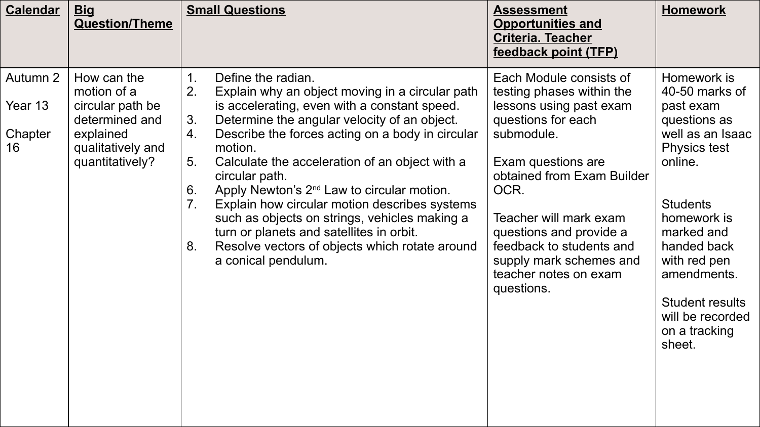| <b>Calendar</b>                      | <b>Big</b><br><b>Question/Theme</b>                                                                                   | <b>Small Questions</b>                                                                                                                                                                                                                                                                                                                                                                                                                                                                                                                                                                                                                                                     | <b>Assessment</b><br><b>Opportunities and</b><br><b>Criteria. Teacher</b><br>feedback point (TFP)                                                                                                                                                                                                                                  | <b>Homework</b>                                                                                                                                                                                                                                                                         |
|--------------------------------------|-----------------------------------------------------------------------------------------------------------------------|----------------------------------------------------------------------------------------------------------------------------------------------------------------------------------------------------------------------------------------------------------------------------------------------------------------------------------------------------------------------------------------------------------------------------------------------------------------------------------------------------------------------------------------------------------------------------------------------------------------------------------------------------------------------------|------------------------------------------------------------------------------------------------------------------------------------------------------------------------------------------------------------------------------------------------------------------------------------------------------------------------------------|-----------------------------------------------------------------------------------------------------------------------------------------------------------------------------------------------------------------------------------------------------------------------------------------|
| Autumn 2<br>Year 13<br>Chapter<br>16 | How can the<br>motion of a<br>circular path be<br>determined and<br>explained<br>qualitatively and<br>quantitatively? | Define the radian.<br>$\mathbf{1}$ .<br>2.<br>Explain why an object moving in a circular path<br>is accelerating, even with a constant speed.<br>Determine the angular velocity of an object.<br>3 <sub>1</sub><br>Describe the forces acting on a body in circular<br>4.<br>motion.<br>Calculate the acceleration of an object with a<br>5.<br>circular path.<br>Apply Newton's 2 <sup>nd</sup> Law to circular motion.<br>6.<br>Explain how circular motion describes systems<br>$7_{\cdot}$<br>such as objects on strings, vehicles making a<br>turn or planets and satellites in orbit.<br>Resolve vectors of objects which rotate around<br>8.<br>a conical pendulum. | Each Module consists of<br>testing phases within the<br>lessons using past exam<br>questions for each<br>submodule.<br>Exam questions are<br>obtained from Exam Builder<br>OCR.<br>Teacher will mark exam<br>questions and provide a<br>feedback to students and<br>supply mark schemes and<br>teacher notes on exam<br>questions. | Homework is<br>40-50 marks of<br>past exam<br>questions as<br>well as an Isaac<br><b>Physics test</b><br>online.<br><b>Students</b><br>homework is<br>marked and<br>handed back<br>with red pen<br>amendments.<br><b>Student results</b><br>will be recorded<br>on a tracking<br>sheet. |
|                                      |                                                                                                                       |                                                                                                                                                                                                                                                                                                                                                                                                                                                                                                                                                                                                                                                                            |                                                                                                                                                                                                                                                                                                                                    |                                                                                                                                                                                                                                                                                         |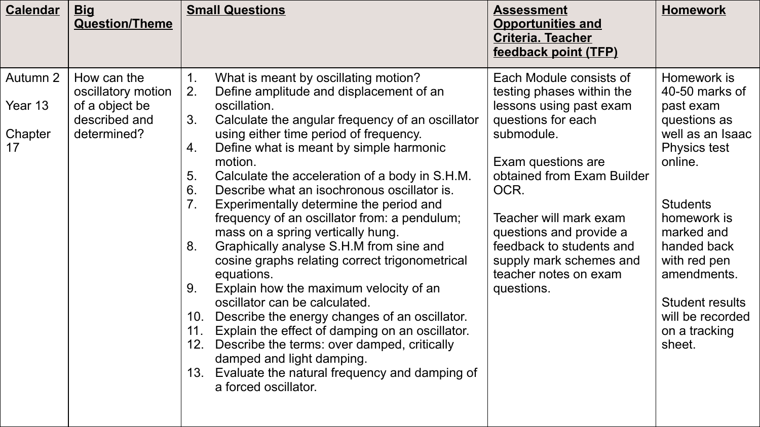| <b>Calendar</b>                      | <b>Big</b><br><b>Question/Theme</b>                                                 | <b>Small Questions</b>                                                                                                                                                                                                                                                                                                                                                                                                                                                                                                                                                                                                                                                                                                                                                                                                                                                                                                                                                                                                         | <b>Assessment</b><br><b>Opportunities and</b><br><b>Criteria. Teacher</b><br>feedback point (TFP)                                                                                                                                                                                                                                  | <b>Homework</b>                                                                                                                                                                                                                                                                         |
|--------------------------------------|-------------------------------------------------------------------------------------|--------------------------------------------------------------------------------------------------------------------------------------------------------------------------------------------------------------------------------------------------------------------------------------------------------------------------------------------------------------------------------------------------------------------------------------------------------------------------------------------------------------------------------------------------------------------------------------------------------------------------------------------------------------------------------------------------------------------------------------------------------------------------------------------------------------------------------------------------------------------------------------------------------------------------------------------------------------------------------------------------------------------------------|------------------------------------------------------------------------------------------------------------------------------------------------------------------------------------------------------------------------------------------------------------------------------------------------------------------------------------|-----------------------------------------------------------------------------------------------------------------------------------------------------------------------------------------------------------------------------------------------------------------------------------------|
| Autumn 2<br>Year 13<br>Chapter<br>17 | How can the<br>oscillatory motion<br>of a object be<br>described and<br>determined? | What is meant by oscillating motion?<br>$1_{\cdot}$<br>2.<br>Define amplitude and displacement of an<br>oscillation.<br>Calculate the angular frequency of an oscillator<br>3.<br>using either time period of frequency.<br>Define what is meant by simple harmonic<br>4.<br>motion.<br>Calculate the acceleration of a body in S.H.M.<br>5.<br>6.<br>Describe what an isochronous oscillator is.<br>Experimentally determine the period and<br>7.<br>frequency of an oscillator from: a pendulum;<br>mass on a spring vertically hung.<br>Graphically analyse S.H.M from sine and<br>8.<br>cosine graphs relating correct trigonometrical<br>equations.<br>Explain how the maximum velocity of an<br>9.<br>oscillator can be calculated.<br>Describe the energy changes of an oscillator.<br>10.<br>Explain the effect of damping on an oscillator.<br>11.<br>Describe the terms: over damped, critically<br>12.<br>damped and light damping.<br>Evaluate the natural frequency and damping of<br>13.<br>a forced oscillator. | Each Module consists of<br>testing phases within the<br>lessons using past exam<br>questions for each<br>submodule.<br>Exam questions are<br>obtained from Exam Builder<br>OCR.<br>Teacher will mark exam<br>questions and provide a<br>feedback to students and<br>supply mark schemes and<br>teacher notes on exam<br>questions. | Homework is<br>40-50 marks of<br>past exam<br>questions as<br>well as an Isaac<br><b>Physics test</b><br>online.<br><b>Students</b><br>homework is<br>marked and<br>handed back<br>with red pen<br>amendments.<br><b>Student results</b><br>will be recorded<br>on a tracking<br>sheet. |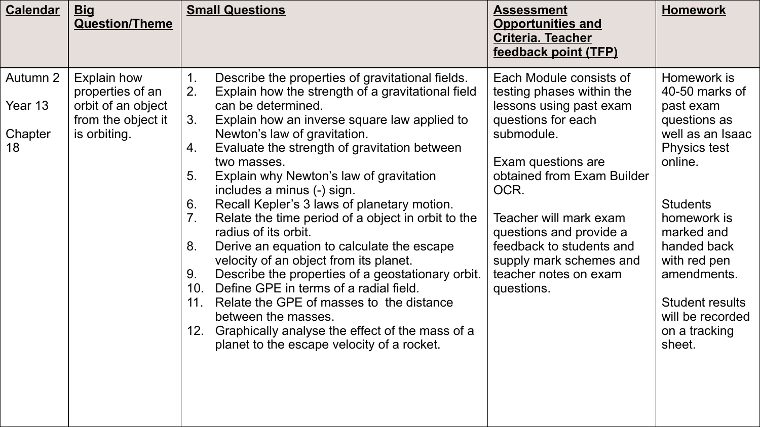| <b>Calendar</b>                      | <u>Big</u><br><b>Question/Theme</b>                                                                | <b>Small Questions</b>                                                                                                                                                                                                                                                                                                                                                                                                                                                                                                                                                                                                                                                                                                                                                                                                                                                                                                                        | <b>Assessment</b><br><b>Opportunities and</b><br><b>Criteria. Teacher</b><br>feedback point (TFP)                                                                                                                                                                                                                                  | <b>Homework</b>                                                                                                                                                                                                                                                                         |
|--------------------------------------|----------------------------------------------------------------------------------------------------|-----------------------------------------------------------------------------------------------------------------------------------------------------------------------------------------------------------------------------------------------------------------------------------------------------------------------------------------------------------------------------------------------------------------------------------------------------------------------------------------------------------------------------------------------------------------------------------------------------------------------------------------------------------------------------------------------------------------------------------------------------------------------------------------------------------------------------------------------------------------------------------------------------------------------------------------------|------------------------------------------------------------------------------------------------------------------------------------------------------------------------------------------------------------------------------------------------------------------------------------------------------------------------------------|-----------------------------------------------------------------------------------------------------------------------------------------------------------------------------------------------------------------------------------------------------------------------------------------|
| Autumn 2<br>Year 13<br>Chapter<br>18 | <b>Explain how</b><br>properties of an<br>orbit of an object<br>from the object it<br>is orbiting. | Describe the properties of gravitational fields.<br>2.<br>Explain how the strength of a gravitational field<br>can be determined.<br>Explain how an inverse square law applied to<br>3.<br>Newton's law of gravitation.<br>Evaluate the strength of gravitation between<br>4.<br>two masses.<br>Explain why Newton's law of gravitation<br>5.<br>includes a minus (-) sign.<br>Recall Kepler's 3 laws of planetary motion.<br>6.<br>Relate the time period of a object in orbit to the<br>$7_{\scriptscriptstyle{\cdot}}$<br>radius of its orbit.<br>Derive an equation to calculate the escape<br>8.<br>velocity of an object from its planet.<br>Describe the properties of a geostationary orbit.<br>9.<br>Define GPE in terms of a radial field.<br>10.<br>Relate the GPE of masses to the distance<br>11.<br>between the masses.<br>Graphically analyse the effect of the mass of a<br>12.<br>planet to the escape velocity of a rocket. | Each Module consists of<br>testing phases within the<br>lessons using past exam<br>questions for each<br>submodule.<br>Exam questions are<br>obtained from Exam Builder<br>OCR.<br>Teacher will mark exam<br>questions and provide a<br>feedback to students and<br>supply mark schemes and<br>teacher notes on exam<br>questions. | Homework is<br>40-50 marks of<br>past exam<br>questions as<br>well as an Isaac<br><b>Physics test</b><br>online.<br><b>Students</b><br>homework is<br>marked and<br>handed back<br>with red pen<br>amendments.<br><b>Student results</b><br>will be recorded<br>on a tracking<br>sheet. |
|                                      |                                                                                                    |                                                                                                                                                                                                                                                                                                                                                                                                                                                                                                                                                                                                                                                                                                                                                                                                                                                                                                                                               |                                                                                                                                                                                                                                                                                                                                    |                                                                                                                                                                                                                                                                                         |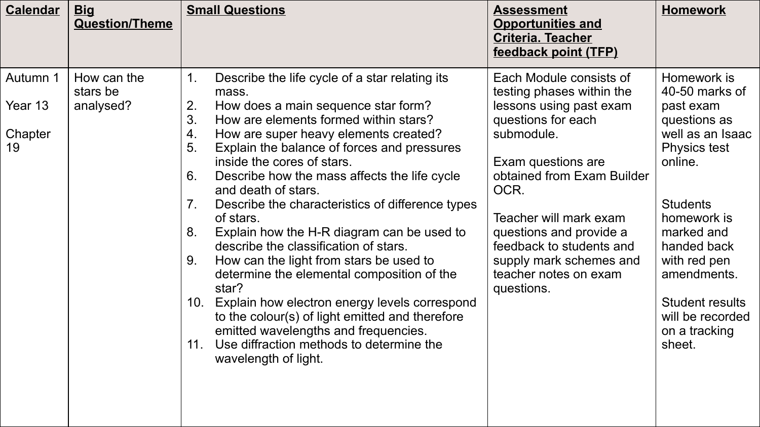| <b>Calendar</b>                      | <b>Big</b><br><b>Question/Theme</b>  | <b>Small Questions</b>                                                                                                                                                                                                                                                                                                                                                                                                                                                                                                                                                                                                                                                                                                                                                                                                                                                                                    | <b>Assessment</b><br><b>Opportunities and</b><br><b>Criteria. Teacher</b><br>feedback point (TFP)                                                                                                                                                                                                                                  | <b>Homework</b>                                                                                                                                                                                                                                                                         |
|--------------------------------------|--------------------------------------|-----------------------------------------------------------------------------------------------------------------------------------------------------------------------------------------------------------------------------------------------------------------------------------------------------------------------------------------------------------------------------------------------------------------------------------------------------------------------------------------------------------------------------------------------------------------------------------------------------------------------------------------------------------------------------------------------------------------------------------------------------------------------------------------------------------------------------------------------------------------------------------------------------------|------------------------------------------------------------------------------------------------------------------------------------------------------------------------------------------------------------------------------------------------------------------------------------------------------------------------------------|-----------------------------------------------------------------------------------------------------------------------------------------------------------------------------------------------------------------------------------------------------------------------------------------|
| Autumn 1<br>Year 13<br>Chapter<br>19 | How can the<br>stars be<br>analysed? | Describe the life cycle of a star relating its<br>$\mathbf 1$ .<br>mass.<br>2.<br>How does a main sequence star form?<br>3.<br>How are elements formed within stars?<br>4.<br>How are super heavy elements created?<br>5.<br>Explain the balance of forces and pressures<br>inside the cores of stars.<br>6.<br>Describe how the mass affects the life cycle<br>and death of stars.<br>Describe the characteristics of difference types<br>7 <sub>1</sub><br>of stars.<br>Explain how the H-R diagram can be used to<br>8.<br>describe the classification of stars.<br>How can the light from stars be used to<br>9.<br>determine the elemental composition of the<br>star?<br>Explain how electron energy levels correspond<br>10.<br>to the colour(s) of light emitted and therefore<br>emitted wavelengths and frequencies.<br>Use diffraction methods to determine the<br>11.<br>wavelength of light. | Each Module consists of<br>testing phases within the<br>lessons using past exam<br>questions for each<br>submodule.<br>Exam questions are<br>obtained from Exam Builder<br>OCR.<br>Teacher will mark exam<br>questions and provide a<br>feedback to students and<br>supply mark schemes and<br>teacher notes on exam<br>questions. | Homework is<br>40-50 marks of<br>past exam<br>questions as<br>well as an Isaac<br><b>Physics test</b><br>online.<br><b>Students</b><br>homework is<br>marked and<br>handed back<br>with red pen<br>amendments.<br><b>Student results</b><br>will be recorded<br>on a tracking<br>sheet. |
|                                      |                                      |                                                                                                                                                                                                                                                                                                                                                                                                                                                                                                                                                                                                                                                                                                                                                                                                                                                                                                           |                                                                                                                                                                                                                                                                                                                                    |                                                                                                                                                                                                                                                                                         |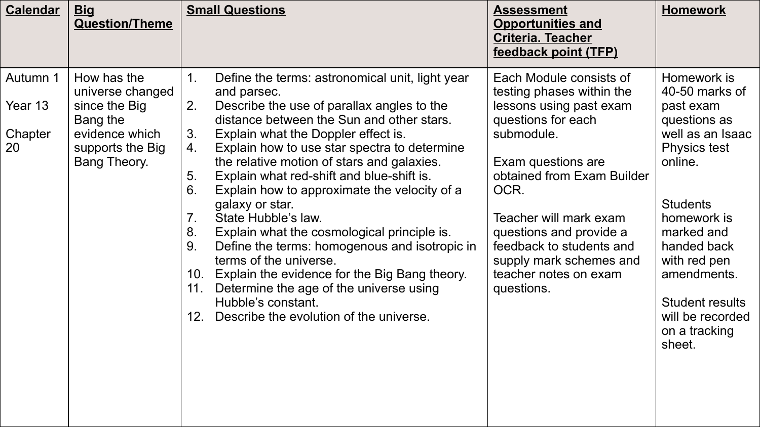| <b>Calendar</b>                      | <u>Big</u><br><b>Question/Theme</b>                                                                                | <b>Small Questions</b>                                                                                                                                                                                                                                                                                                                                                                                                                                                                                                                                                                                                                                                                                                                                                                                                 | <b>Assessment</b><br><b>Opportunities and</b><br><b>Criteria. Teacher</b><br>feedback point (TFP)                                                                                                                                                                                                                                  | <b>Homework</b>                                                                                                                                                                                                                                                                         |
|--------------------------------------|--------------------------------------------------------------------------------------------------------------------|------------------------------------------------------------------------------------------------------------------------------------------------------------------------------------------------------------------------------------------------------------------------------------------------------------------------------------------------------------------------------------------------------------------------------------------------------------------------------------------------------------------------------------------------------------------------------------------------------------------------------------------------------------------------------------------------------------------------------------------------------------------------------------------------------------------------|------------------------------------------------------------------------------------------------------------------------------------------------------------------------------------------------------------------------------------------------------------------------------------------------------------------------------------|-----------------------------------------------------------------------------------------------------------------------------------------------------------------------------------------------------------------------------------------------------------------------------------------|
| Autumn 1<br>Year 13<br>Chapter<br>20 | How has the<br>universe changed<br>since the Big<br>Bang the<br>evidence which<br>supports the Big<br>Bang Theory. | Define the terms: astronomical unit, light year<br>$1_{\cdot}$<br>and parsec.<br>Describe the use of parallax angles to the<br>2.<br>distance between the Sun and other stars.<br>Explain what the Doppler effect is.<br>3.<br>Explain how to use star spectra to determine<br>4.<br>the relative motion of stars and galaxies.<br>5.<br>Explain what red-shift and blue-shift is.<br>6.<br>Explain how to approximate the velocity of a<br>galaxy or star.<br>State Hubble's law.<br>$7_{\cdot}$<br>Explain what the cosmological principle is.<br>8.<br>Define the terms: homogenous and isotropic in<br>9.<br>terms of the universe.<br>10. Explain the evidence for the Big Bang theory.<br>Determine the age of the universe using<br>11.<br>Hubble's constant.<br>Describe the evolution of the universe.<br>12. | Each Module consists of<br>testing phases within the<br>lessons using past exam<br>questions for each<br>submodule.<br>Exam questions are<br>obtained from Exam Builder<br>OCR.<br>Teacher will mark exam<br>questions and provide a<br>feedback to students and<br>supply mark schemes and<br>teacher notes on exam<br>questions. | Homework is<br>40-50 marks of<br>past exam<br>questions as<br>well as an Isaac<br><b>Physics test</b><br>online.<br><b>Students</b><br>homework is<br>marked and<br>handed back<br>with red pen<br>amendments.<br><b>Student results</b><br>will be recorded<br>on a tracking<br>sheet. |
|                                      |                                                                                                                    |                                                                                                                                                                                                                                                                                                                                                                                                                                                                                                                                                                                                                                                                                                                                                                                                                        |                                                                                                                                                                                                                                                                                                                                    |                                                                                                                                                                                                                                                                                         |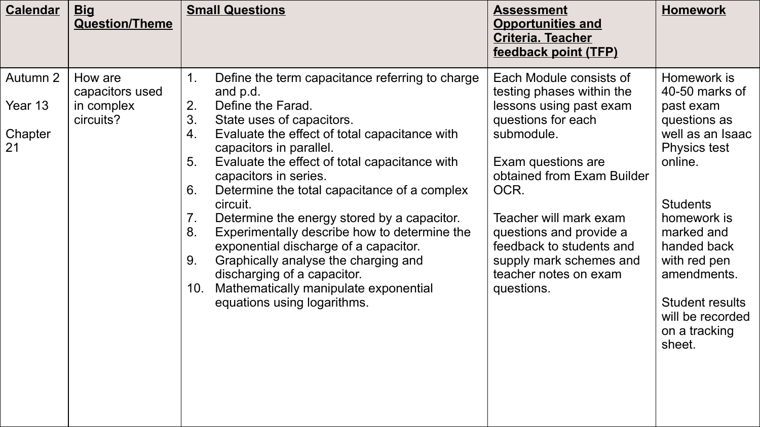| <b>Calendar</b>                      | <b>Big</b><br><b>Question/Theme</b>                   | <b>Small Questions</b>                                                                                                                                                                                                                                                                                                                                                                                                                                                                                                                                                                                                                                                              | <b>Assessment</b><br><b>Opportunities and</b><br><b>Criteria. Teacher</b><br>feedback point (TFP)                                                                                                                                                                                                                                  | <b>Homework</b>                                                                                                                                                                                                                                                                         |
|--------------------------------------|-------------------------------------------------------|-------------------------------------------------------------------------------------------------------------------------------------------------------------------------------------------------------------------------------------------------------------------------------------------------------------------------------------------------------------------------------------------------------------------------------------------------------------------------------------------------------------------------------------------------------------------------------------------------------------------------------------------------------------------------------------|------------------------------------------------------------------------------------------------------------------------------------------------------------------------------------------------------------------------------------------------------------------------------------------------------------------------------------|-----------------------------------------------------------------------------------------------------------------------------------------------------------------------------------------------------------------------------------------------------------------------------------------|
| Autumn 2<br>Year 13<br>Chapter<br>21 | How are<br>capacitors used<br>in complex<br>circuits? | Define the term capacitance referring to charge<br>1.<br>and p.d.<br>2.<br>Define the Farad.<br>3.<br>State uses of capacitors.<br>Evaluate the effect of total capacitance with<br>4.<br>capacitors in parallel.<br>5.<br>Evaluate the effect of total capacitance with<br>capacitors in series.<br>Determine the total capacitance of a complex<br>6.<br>circuit.<br>Determine the energy stored by a capacitor.<br>7.<br>Experimentally describe how to determine the<br>8.<br>exponential discharge of a capacitor.<br>Graphically analyse the charging and<br>9.<br>discharging of a capacitor.<br>Mathematically manipulate exponential<br>10.<br>equations using logarithms. | Each Module consists of<br>testing phases within the<br>lessons using past exam<br>questions for each<br>submodule.<br>Exam questions are<br>obtained from Exam Builder<br>OCR.<br>Teacher will mark exam<br>questions and provide a<br>feedback to students and<br>supply mark schemes and<br>teacher notes on exam<br>questions. | Homework is<br>40-50 marks of<br>past exam<br>questions as<br>well as an Isaac<br><b>Physics test</b><br>online.<br><b>Students</b><br>homework is<br>marked and<br>handed back<br>with red pen<br>amendments.<br><b>Student results</b><br>will be recorded<br>on a tracking<br>sheet. |
|                                      |                                                       |                                                                                                                                                                                                                                                                                                                                                                                                                                                                                                                                                                                                                                                                                     |                                                                                                                                                                                                                                                                                                                                    |                                                                                                                                                                                                                                                                                         |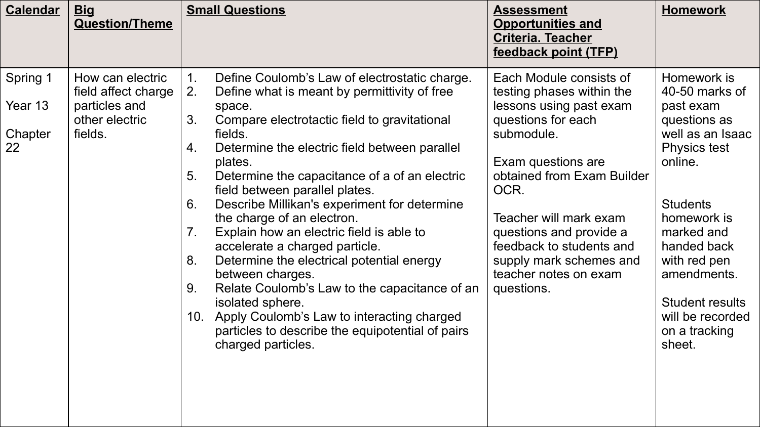| <b>Calendar</b>                      | <b>Big</b><br><b>Question/Theme</b>                                                   | <b>Small Questions</b>                                                                                                                                                                                                                                                                                                                                                                                                                                                                                                                                                                                                                                                                                                                                                                                | <b>Assessment</b><br><b>Opportunities and</b><br><b>Criteria. Teacher</b><br>feedback point (TFP)                                                                                                                                                                                                                                  | <b>Homework</b>                                                                                                                                                                                                                                                                         |
|--------------------------------------|---------------------------------------------------------------------------------------|-------------------------------------------------------------------------------------------------------------------------------------------------------------------------------------------------------------------------------------------------------------------------------------------------------------------------------------------------------------------------------------------------------------------------------------------------------------------------------------------------------------------------------------------------------------------------------------------------------------------------------------------------------------------------------------------------------------------------------------------------------------------------------------------------------|------------------------------------------------------------------------------------------------------------------------------------------------------------------------------------------------------------------------------------------------------------------------------------------------------------------------------------|-----------------------------------------------------------------------------------------------------------------------------------------------------------------------------------------------------------------------------------------------------------------------------------------|
| Spring 1<br>Year 13<br>Chapter<br>22 | How can electric<br>field affect charge<br>particles and<br>other electric<br>fields. | Define Coulomb's Law of electrostatic charge.<br>1.<br>2.<br>Define what is meant by permittivity of free<br>space.<br>3.<br>Compare electrotactic field to gravitational<br>fields.<br>Determine the electric field between parallel<br>4.<br>plates.<br>Determine the capacitance of a of an electric<br>5.<br>field between parallel plates.<br>Describe Millikan's experiment for determine<br>6.<br>the charge of an electron.<br>Explain how an electric field is able to<br>7.<br>accelerate a charged particle.<br>Determine the electrical potential energy<br>8.<br>between charges.<br>Relate Coulomb's Law to the capacitance of an<br>9.<br>isolated sphere.<br>10. Apply Coulomb's Law to interacting charged<br>particles to describe the equipotential of pairs<br>charged particles. | Each Module consists of<br>testing phases within the<br>lessons using past exam<br>questions for each<br>submodule.<br>Exam questions are<br>obtained from Exam Builder<br>OCR.<br>Teacher will mark exam<br>questions and provide a<br>feedback to students and<br>supply mark schemes and<br>teacher notes on exam<br>questions. | Homework is<br>40-50 marks of<br>past exam<br>questions as<br>well as an Isaac<br><b>Physics test</b><br>online.<br><b>Students</b><br>homework is<br>marked and<br>handed back<br>with red pen<br>amendments.<br><b>Student results</b><br>will be recorded<br>on a tracking<br>sheet. |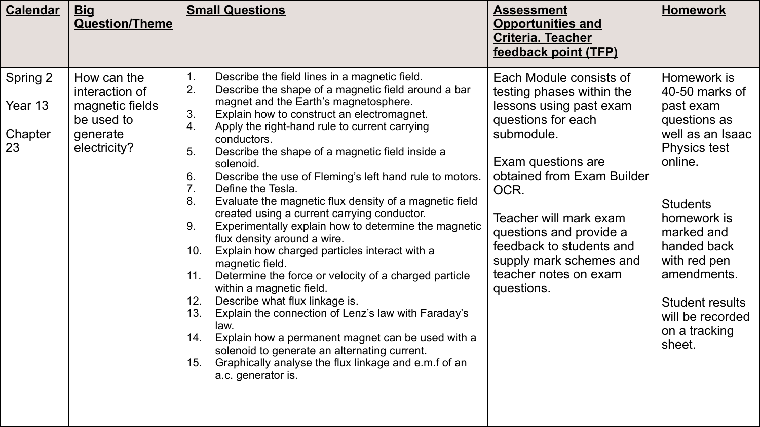| <b>Calendar</b>                      | <b>Big</b><br><b>Question/Theme</b>                                                        | <b>Small Questions</b>                                                                                                                                                                                                                                                                                                                                                                                                                                                                                                                                                                                                                                                                                                                                                                                                                                                                                                                                                                                                                                                                                                                                               | <b>Assessment</b><br><b>Opportunities and</b><br><b>Criteria. Teacher</b><br>feedback point (TFP)                                                                                                                                                                                                                                  | <b>Homework</b>                                                                                                                                                                                                                                                                         |
|--------------------------------------|--------------------------------------------------------------------------------------------|----------------------------------------------------------------------------------------------------------------------------------------------------------------------------------------------------------------------------------------------------------------------------------------------------------------------------------------------------------------------------------------------------------------------------------------------------------------------------------------------------------------------------------------------------------------------------------------------------------------------------------------------------------------------------------------------------------------------------------------------------------------------------------------------------------------------------------------------------------------------------------------------------------------------------------------------------------------------------------------------------------------------------------------------------------------------------------------------------------------------------------------------------------------------|------------------------------------------------------------------------------------------------------------------------------------------------------------------------------------------------------------------------------------------------------------------------------------------------------------------------------------|-----------------------------------------------------------------------------------------------------------------------------------------------------------------------------------------------------------------------------------------------------------------------------------------|
| Spring 2<br>Year 13<br>Chapter<br>23 | How can the<br>interaction of<br>magnetic fields<br>be used to<br>generate<br>electricity? | 1.<br>Describe the field lines in a magnetic field.<br>2.<br>Describe the shape of a magnetic field around a bar<br>magnet and the Earth's magnetosphere.<br>3.<br>Explain how to construct an electromagnet.<br>Apply the right-hand rule to current carrying<br>4.<br>conductors.<br>5.<br>Describe the shape of a magnetic field inside a<br>solenoid.<br>6.<br>Describe the use of Fleming's left hand rule to motors.<br>7 <sub>1</sub><br>Define the Tesla.<br>8.<br>Evaluate the magnetic flux density of a magnetic field<br>created using a current carrying conductor.<br>Experimentally explain how to determine the magnetic<br>9.<br>flux density around a wire.<br>Explain how charged particles interact with a<br>10.<br>magnetic field.<br>Determine the force or velocity of a charged particle<br>11.<br>within a magnetic field.<br>12.<br>Describe what flux linkage is.<br>Explain the connection of Lenz's law with Faraday's<br>13.<br>law.<br>Explain how a permanent magnet can be used with a<br>14.<br>solenoid to generate an alternating current.<br>Graphically analyse the flux linkage and e.m.f of an<br>15.<br>a.c. generator is. | Each Module consists of<br>testing phases within the<br>lessons using past exam<br>questions for each<br>submodule.<br>Exam questions are<br>obtained from Exam Builder<br>OCR.<br>Teacher will mark exam<br>questions and provide a<br>feedback to students and<br>supply mark schemes and<br>teacher notes on exam<br>questions. | Homework is<br>40-50 marks of<br>past exam<br>questions as<br>well as an Isaac<br><b>Physics test</b><br>online.<br><b>Students</b><br>homework is<br>marked and<br>handed back<br>with red pen<br>amendments.<br><b>Student results</b><br>will be recorded<br>on a tracking<br>sheet. |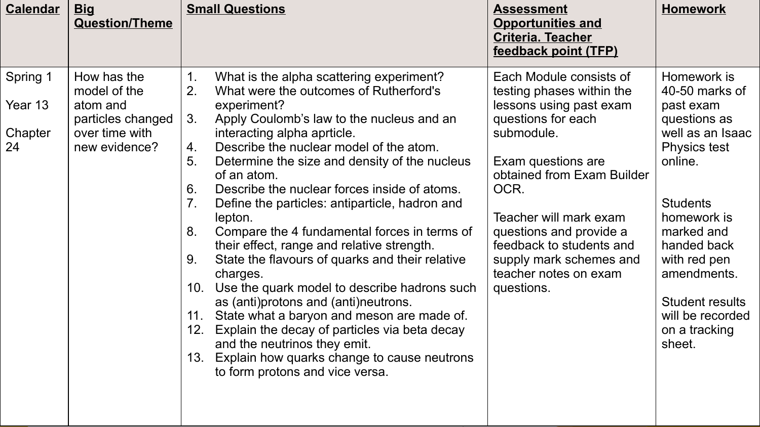| <b>Calendar</b>                      | <u>Big</u><br><b>Question/Theme</b>                                                             | <b>Small Questions</b>                                                                                                                                                                                                                                                                                                                                                                                                                                                                                                                                                                                                                                                                                                                                                                                                                                                                                                                                                 | <b>Assessment</b><br><b>Opportunities and</b><br><b>Criteria. Teacher</b><br>feedback point (TFP)                                                                                                                                                                                                                                  | <b>Homework</b>                                                                                                                                                                                                                                                                         |
|--------------------------------------|-------------------------------------------------------------------------------------------------|------------------------------------------------------------------------------------------------------------------------------------------------------------------------------------------------------------------------------------------------------------------------------------------------------------------------------------------------------------------------------------------------------------------------------------------------------------------------------------------------------------------------------------------------------------------------------------------------------------------------------------------------------------------------------------------------------------------------------------------------------------------------------------------------------------------------------------------------------------------------------------------------------------------------------------------------------------------------|------------------------------------------------------------------------------------------------------------------------------------------------------------------------------------------------------------------------------------------------------------------------------------------------------------------------------------|-----------------------------------------------------------------------------------------------------------------------------------------------------------------------------------------------------------------------------------------------------------------------------------------|
| Spring 1<br>Year 13<br>Chapter<br>24 | How has the<br>model of the<br>atom and<br>particles changed<br>over time with<br>new evidence? | What is the alpha scattering experiment?<br>1.<br>2 <sub>1</sub><br>What were the outcomes of Rutherford's<br>experiment?<br>3.<br>Apply Coulomb's law to the nucleus and an<br>interacting alpha aprticle.<br>Describe the nuclear model of the atom.<br>4.<br>5.<br>Determine the size and density of the nucleus<br>of an atom.<br>Describe the nuclear forces inside of atoms.<br>6.<br>Define the particles: antiparticle, hadron and<br>7.<br>lepton.<br>Compare the 4 fundamental forces in terms of<br>8.<br>their effect, range and relative strength.<br>State the flavours of quarks and their relative<br>9.<br>charges.<br>Use the quark model to describe hadrons such<br>10.<br>as (anti)protons and (anti)neutrons.<br>State what a baryon and meson are made of.<br>11.<br>Explain the decay of particles via beta decay<br>12.<br>and the neutrinos they emit.<br>13. Explain how quarks change to cause neutrons<br>to form protons and vice versa. | Each Module consists of<br>testing phases within the<br>lessons using past exam<br>questions for each<br>submodule.<br>Exam questions are<br>obtained from Exam Builder<br>OCR.<br>Teacher will mark exam<br>questions and provide a<br>feedback to students and<br>supply mark schemes and<br>teacher notes on exam<br>questions. | Homework is<br>40-50 marks of<br>past exam<br>questions as<br>well as an Isaac<br><b>Physics test</b><br>online.<br><b>Students</b><br>homework is<br>marked and<br>handed back<br>with red pen<br>amendments.<br><b>Student results</b><br>will be recorded<br>on a tracking<br>sheet. |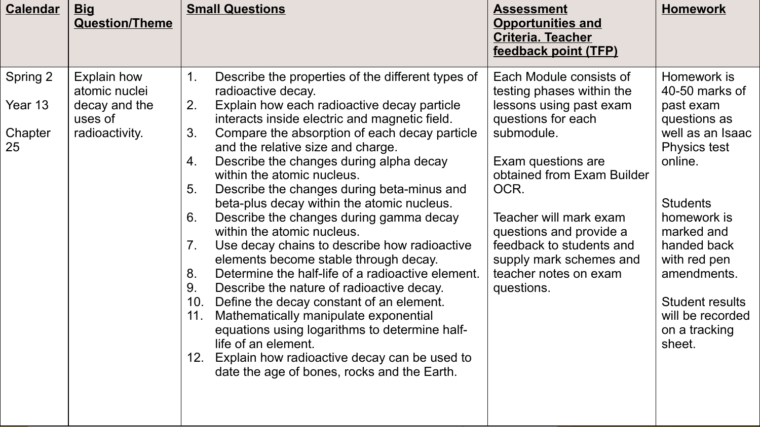| <b>Calendar</b> | <b>Big</b><br><b>Question/Theme</b> |             | <b>Small Questions</b>                                                                                                                                    | <b>Assessment</b><br><b>Opportunities and</b><br><b>Criteria. Teacher</b><br>feedback point (TFP) | <b>Homework</b>                                                       |
|-----------------|-------------------------------------|-------------|-----------------------------------------------------------------------------------------------------------------------------------------------------------|---------------------------------------------------------------------------------------------------|-----------------------------------------------------------------------|
| Spring 2        | Explain how<br>atomic nuclei        | $1_{\cdot}$ | Describe the properties of the different types of<br>radioactive decay.                                                                                   | Each Module consists of<br>testing phases within the                                              | Homework is<br>40-50 marks of                                         |
| Year 13         | decay and the<br>uses of            | 2.          | Explain how each radioactive decay particle<br>interacts inside electric and magnetic field.                                                              | lessons using past exam<br>questions for each                                                     | past exam<br>questions as                                             |
| Chapter<br>25   | radioactivity.                      | 3.          | Compare the absorption of each decay particle<br>and the relative size and charge.                                                                        | submodule.                                                                                        | well as an Isaac<br><b>Physics test</b>                               |
|                 |                                     | 4.          | Describe the changes during alpha decay<br>within the atomic nucleus.                                                                                     | Exam questions are<br>obtained from Exam Builder                                                  | online.                                                               |
|                 |                                     | 5.          | Describe the changes during beta-minus and<br>beta-plus decay within the atomic nucleus.                                                                  | OCR.                                                                                              | <b>Students</b>                                                       |
|                 |                                     | 6.          | Describe the changes during gamma decay<br>within the atomic nucleus.                                                                                     | Teacher will mark exam<br>questions and provide a                                                 | homework is<br>marked and                                             |
|                 |                                     | 7.          | Use decay chains to describe how radioactive<br>elements become stable through decay.                                                                     | feedback to students and<br>supply mark schemes and                                               | handed back<br>with red pen                                           |
|                 |                                     | 8.<br>9.    | Determine the half-life of a radioactive element.<br>Describe the nature of radioactive decay.                                                            | teacher notes on exam<br>questions.                                                               | amendments.                                                           |
|                 |                                     | 10.<br>11.  | Define the decay constant of an element.<br>Mathematically manipulate exponential<br>equations using logarithms to determine half-<br>life of an element. |                                                                                                   | <b>Student results</b><br>will be recorded<br>on a tracking<br>sheet. |
|                 |                                     |             | 12. Explain how radioactive decay can be used to<br>date the age of bones, rocks and the Earth.                                                           |                                                                                                   |                                                                       |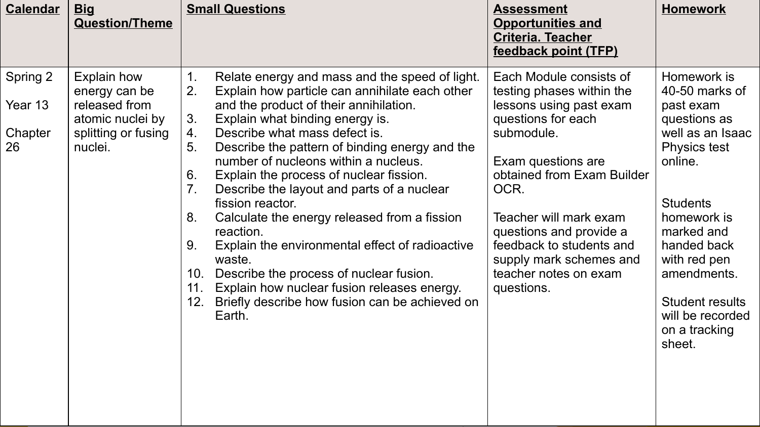| <b>Calendar</b>                      | <b>Big</b><br><b>Question/Theme</b>                                                                        | <b>Small Questions</b>                                                                                                                                                                                                                                                                                                                                                                                                                                                                                                                                                                                                                                                                                                                                                                       | <b>Assessment</b><br><b>Opportunities and</b><br><b>Criteria. Teacher</b><br>feedback point (TFP)                                                                                                                                                                                                                                  | <b>Homework</b>                                                                                                                                                                                                                                       |
|--------------------------------------|------------------------------------------------------------------------------------------------------------|----------------------------------------------------------------------------------------------------------------------------------------------------------------------------------------------------------------------------------------------------------------------------------------------------------------------------------------------------------------------------------------------------------------------------------------------------------------------------------------------------------------------------------------------------------------------------------------------------------------------------------------------------------------------------------------------------------------------------------------------------------------------------------------------|------------------------------------------------------------------------------------------------------------------------------------------------------------------------------------------------------------------------------------------------------------------------------------------------------------------------------------|-------------------------------------------------------------------------------------------------------------------------------------------------------------------------------------------------------------------------------------------------------|
| Spring 2<br>Year 13<br>Chapter<br>26 | <b>Explain how</b><br>energy can be<br>released from<br>atomic nuclei by<br>splitting or fusing<br>nuclei. | Relate energy and mass and the speed of light.<br>1.<br>2.<br>Explain how particle can annihilate each other<br>and the product of their annihilation.<br>3.<br>Explain what binding energy is.<br>Describe what mass defect is.<br>4.<br>Describe the pattern of binding energy and the<br>5.<br>number of nucleons within a nucleus.<br>6.<br>Explain the process of nuclear fission.<br>7 <sub>1</sub><br>Describe the layout and parts of a nuclear<br>fission reactor.<br>Calculate the energy released from a fission<br>8.<br>reaction.<br>Explain the environmental effect of radioactive<br>9.<br>waste.<br>Describe the process of nuclear fusion.<br>10.<br>Explain how nuclear fusion releases energy.<br>11.<br>Briefly describe how fusion can be achieved on<br>12.<br>Earth. | Each Module consists of<br>testing phases within the<br>lessons using past exam<br>questions for each<br>submodule.<br>Exam questions are<br>obtained from Exam Builder<br>OCR.<br>Teacher will mark exam<br>questions and provide a<br>feedback to students and<br>supply mark schemes and<br>teacher notes on exam<br>questions. | Homework is<br>40-50 marks of<br>past exam<br>questions as<br>well as an Isaac<br>Physics test<br>online.<br><b>Students</b><br>homework is<br>marked and<br>handed back<br>with red pen<br>amendments.<br><b>Student results</b><br>will be recorded |
|                                      |                                                                                                            |                                                                                                                                                                                                                                                                                                                                                                                                                                                                                                                                                                                                                                                                                                                                                                                              |                                                                                                                                                                                                                                                                                                                                    | on a tracking<br>sheet.                                                                                                                                                                                                                               |